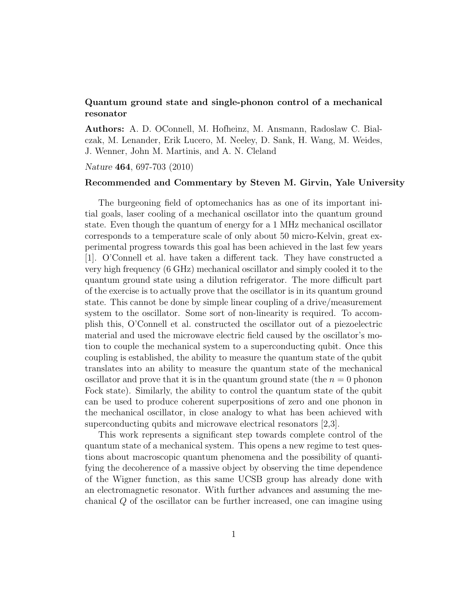## Quantum ground state and single-phonon control of a mechanical resonator

Authors: A. D. OConnell, M. Hofheinz, M. Ansmann, Radoslaw C. Bialczak, M. Lenander, Erik Lucero, M. Neeley, D. Sank, H. Wang, M. Weides, J. Wenner, John M. Martinis, and A. N. Cleland

Nature 464, 697-703 (2010)

## Recommended and Commentary by Steven M. Girvin, Yale University

The burgeoning field of optomechanics has as one of its important initial goals, laser cooling of a mechanical oscillator into the quantum ground state. Even though the quantum of energy for a 1 MHz mechanical oscillator corresponds to a temperature scale of only about 50 micro-Kelvin, great experimental progress towards this goal has been achieved in the last few years [1]. O'Connell et al. have taken a different tack. They have constructed a very high frequency (6 GHz) mechanical oscillator and simply cooled it to the quantum ground state using a dilution refrigerator. The more difficult part of the exercise is to actually prove that the oscillator is in its quantum ground state. This cannot be done by simple linear coupling of a drive/measurement system to the oscillator. Some sort of non-linearity is required. To accomplish this, O'Connell et al. constructed the oscillator out of a piezoelectric material and used the microwave electric field caused by the oscillator's motion to couple the mechanical system to a superconducting qubit. Once this coupling is established, the ability to measure the quantum state of the qubit translates into an ability to measure the quantum state of the mechanical oscillator and prove that it is in the quantum ground state (the  $n = 0$  phonon Fock state). Similarly, the ability to control the quantum state of the qubit can be used to produce coherent superpositions of zero and one phonon in the mechanical oscillator, in close analogy to what has been achieved with superconducting qubits and microwave electrical resonators [2,3].

This work represents a significant step towards complete control of the quantum state of a mechanical system. This opens a new regime to test questions about macroscopic quantum phenomena and the possibility of quantifying the decoherence of a massive object by observing the time dependence of the Wigner function, as this same UCSB group has already done with an electromagnetic resonator. With further advances and assuming the mechanical Q of the oscillator can be further increased, one can imagine using